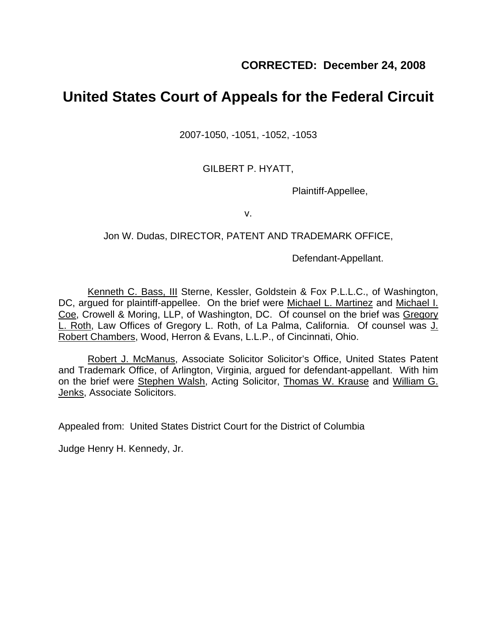# **United States Court of Appeals for the Federal Circuit**

2007-1050, -1051, -1052, -1053

GILBERT P. HYATT,

Plaintiff-Appellee,

v.

## Jon W. Dudas, DIRECTOR, PATENT AND TRADEMARK OFFICE,

Defendant-Appellant.

Kenneth C. Bass, III Sterne, Kessler, Goldstein & Fox P.L.L.C., of Washington, DC, argued for plaintiff-appellee. On the brief were Michael L. Martinez and Michael I. Coe, Crowell & Moring, LLP, of Washington, DC. Of counsel on the brief was Gregory L. Roth, Law Offices of Gregory L. Roth, of La Palma, California. Of counsel was J. Robert Chambers, Wood, Herron & Evans, L.L.P., of Cincinnati, Ohio.

Robert J. McManus, Associate Solicitor Solicitor's Office, United States Patent and Trademark Office, of Arlington, Virginia, argued for defendant-appellant. With him on the brief were Stephen Walsh, Acting Solicitor, Thomas W. Krause and William G. Jenks, Associate Solicitors.

Appealed from: United States District Court for the District of Columbia

Judge Henry H. Kennedy, Jr.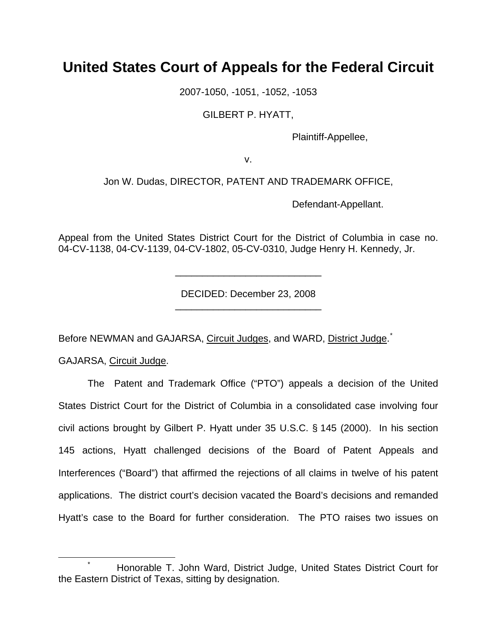## **United States Court of Appeals for the Federal Circuit**

2007-1050, -1051, -1052, -1053

GILBERT P. HYATT,

Plaintiff-Appellee,

v.

Jon W. Dudas, DIRECTOR, PATENT AND TRADEMARK OFFICE,

Defendant-Appellant.

Appeal from the United States District Court for the District of Columbia in case no. 04-CV-1138, 04-CV-1139, 04-CV-1802, 05-CV-0310, Judge Henry H. Kennedy, Jr.

> DECIDED: December 23, 2008 \_\_\_\_\_\_\_\_\_\_\_\_\_\_\_\_\_\_\_\_\_\_\_\_\_\_\_

> \_\_\_\_\_\_\_\_\_\_\_\_\_\_\_\_\_\_\_\_\_\_\_\_\_\_\_

Before NEWMAN and GAJARSA, Circuit Judges, and WARD, District Judge.<sup>[\\*](#page-1-0)</sup>

GAJARSA, Circuit Judge.

The Patent and Trademark Office ("PTO") appeals a decision of the United States District Court for the District of Columbia in a consolidated case involving four civil actions brought by Gilbert P. Hyatt under 35 U.S.C. § 145 (2000). In his section 145 actions, Hyatt challenged decisions of the Board of Patent Appeals and Interferences ("Board") that affirmed the rejections of all claims in twelve of his patent applications. The district court's decision vacated the Board's decisions and remanded Hyatt's case to the Board for further consideration. The PTO raises two issues on

<span id="page-1-0"></span> <sup>\*</sup> Honorable T. John Ward, District Judge, United States District Court for the Eastern District of Texas, sitting by designation.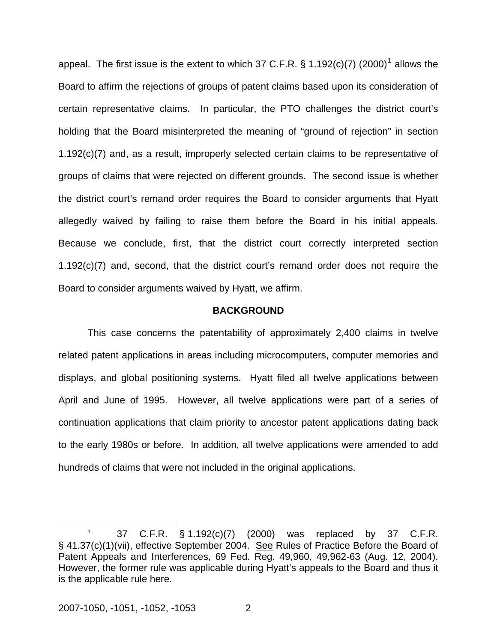appeal. The first issue is the extent to which 37 C.F.R. § [1](#page-2-0).192(c)(7) (2000)<sup>1</sup> allows the Board to affirm the rejections of groups of patent claims based upon its consideration of certain representative claims. In particular, the PTO challenges the district court's holding that the Board misinterpreted the meaning of "ground of rejection" in section 1.192(c)(7) and, as a result, improperly selected certain claims to be representative of groups of claims that were rejected on different grounds. The second issue is whether the district court's remand order requires the Board to consider arguments that Hyatt allegedly waived by failing to raise them before the Board in his initial appeals. Because we conclude, first, that the district court correctly interpreted section 1.192(c)(7) and, second, that the district court's remand order does not require the Board to consider arguments waived by Hyatt, we affirm.

#### **BACKGROUND**

This case concerns the patentability of approximately 2,400 claims in twelve related patent applications in areas including microcomputers, computer memories and displays, and global positioning systems. Hyatt filed all twelve applications between April and June of 1995. However, all twelve applications were part of a series of continuation applications that claim priority to ancestor patent applications dating back to the early 1980s or before. In addition, all twelve applications were amended to add hundreds of claims that were not included in the original applications.

<span id="page-2-0"></span> $\overline{\phantom{a}}$  1 37 C.F.R. § 1.192(c)(7) (2000) was replaced by 37 C.F.R. § 41.37(c)(1)(vii), effective September 2004. See Rules of Practice Before the Board of Patent Appeals and Interferences, 69 Fed. Reg. 49,960, 49,962-63 (Aug. 12, 2004). However, the former rule was applicable during Hyatt's appeals to the Board and thus it is the applicable rule here.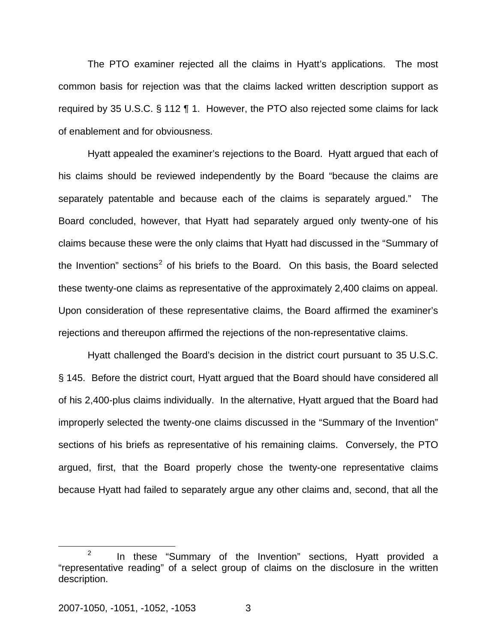The PTO examiner rejected all the claims in Hyatt's applications. The most common basis for rejection was that the claims lacked written description support as required by 35 U.S.C. § 112 ¶ 1.However, the PTO also rejected some claims for lack of enablement and for obviousness.

Hyatt appealed the examiner's rejections to the Board. Hyatt argued that each of his claims should be reviewed independently by the Board "because the claims are separately patentable and because each of the claims is separately argued." The Board concluded, however, that Hyatt had separately argued only twenty-one of his claims because these were the only claims that Hyatt had discussed in the "Summary of the Invention" sections<sup>[2](#page-3-0)</sup> of his briefs to the Board. On this basis, the Board selected these twenty-one claims as representative of the approximately 2,400 claims on appeal. Upon consideration of these representative claims, the Board affirmed the examiner's rejections and thereupon affirmed the rejections of the non-representative claims.

Hyatt challenged the Board's decision in the district court pursuant to 35 U.S.C. § 145. Before the district court, Hyatt argued that the Board should have considered all of his 2,400-plus claims individually. In the alternative, Hyatt argued that the Board had improperly selected the twenty-one claims discussed in the "Summary of the Invention" sections of his briefs as representative of his remaining claims. Conversely, the PTO argued, first, that the Board properly chose the twenty-one representative claims because Hyatt had failed to separately argue any other claims and, second, that all the

<span id="page-3-0"></span> $\frac{1}{2}$  $2$  In these "Summary of the Invention" sections, Hyatt provided a "representative reading" of a select group of claims on the disclosure in the written description.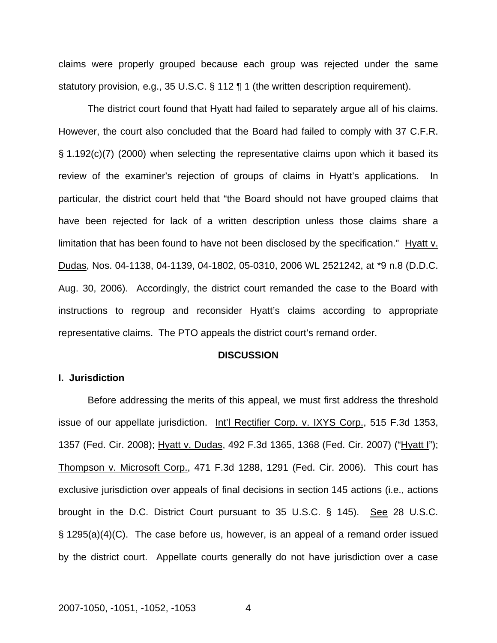claims were properly grouped because each group was rejected under the same statutory provision, e.g., 35 U.S.C. § 112 ¶ 1 (the written description requirement).

The district court found that Hyatt had failed to separately argue all of his claims. However, the court also concluded that the Board had failed to comply with 37 C.F.R. § 1.192(c)(7) (2000) when selecting the representative claims upon which it based its review of the examiner's rejection of groups of claims in Hyatt's applications. In particular, the district court held that "the Board should not have grouped claims that have been rejected for lack of a written description unless those claims share a limitation that has been found to have not been disclosed by the specification." Hyatt v. Dudas, Nos. 04-1138, 04-1139, 04-1802, 05-0310, 2006 WL 2521242, at \*9 n.8 (D.D.C. Aug. 30, 2006). Accordingly, the district court remanded the case to the Board with instructions to regroup and reconsider Hyatt's claims according to appropriate representative claims. The PTO appeals the district court's remand order.

#### **DISCUSSION**

#### **I. Jurisdiction**

 Before addressing the merits of this appeal, we must first address the threshold issue of our appellate jurisdiction. Int'l Rectifier Corp. v. IXYS Corp., 515 F.3d 1353, 1357 (Fed. Cir. 2008); Hyatt v. Dudas, 492 F.3d 1365, 1368 (Fed. Cir. 2007) ("Hyatt I"); Thompson v. Microsoft Corp., 471 F.3d 1288, 1291 (Fed. Cir. 2006). This court has exclusive jurisdiction over appeals of final decisions in section 145 actions (i.e., actions brought in the D.C. District Court pursuant to  $35$  U.S.C. § 145). See 28 U.S.C. § 1295(a)(4)(C). The case before us, however, is an appeal of a remand order issued by the district court. Appellate courts generally do not have jurisdiction over a case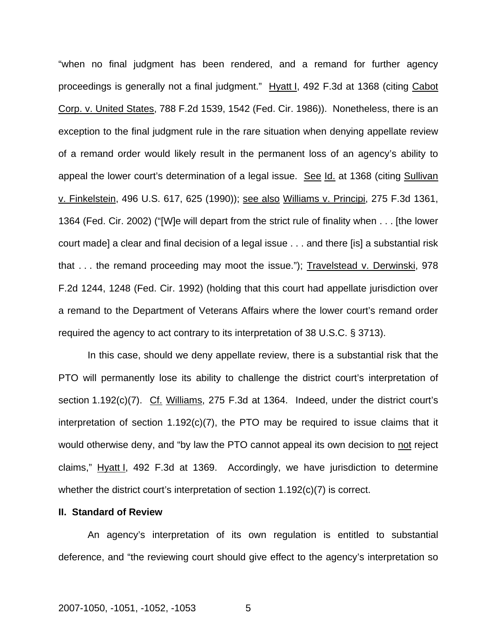"when no final judgment has been rendered, and a remand for further agency proceedings is generally not a final judgment." Hyatt I, 492 F.3d at 1368 (citing Cabot Corp. v. United States, 788 F.2d 1539, 1542 (Fed. Cir. 1986)). Nonetheless, there is an exception to the final judgment rule in the rare situation when denying appellate review of a remand order would likely result in the permanent loss of an agency's ability to appeal the lower court's determination of a legal issue. See Id. at 1368 (citing Sullivan v. Finkelstein, 496 U.S. 617, 625 (1990)); see also Williams v. Principi, 275 F.3d 1361, 1364 (Fed. Cir. 2002) ("[W]e will depart from the strict rule of finality when . . . [the lower court made] a clear and final decision of a legal issue . . . and there [is] a substantial risk that . . . the remand proceeding may moot the issue."); Travelstead v. Derwinski, 978 F.2d 1244, 1248 (Fed. Cir. 1992) (holding that this court had appellate jurisdiction over a remand to the Department of Veterans Affairs where the lower court's remand order required the agency to act contrary to its interpretation of 38 U.S.C. § 3713).

In this case, should we deny appellate review, there is a substantial risk that the PTO will permanently lose its ability to challenge the district court's interpretation of section 1.192(c)(7). Cf. Williams, 275 F.3d at 1364. Indeed, under the district court's interpretation of section  $1.192(c)(7)$ , the PTO may be required to issue claims that it would otherwise deny, and "by law the PTO cannot appeal its own decision to not reject claims," Hyatt I, 492 F.3d at 1369. Accordingly, we have jurisdiction to determine whether the district court's interpretation of section  $1.192(c)(7)$  is correct.

#### **II. Standard of Review**

 An agency's interpretation of its own regulation is entitled to substantial deference, and "the reviewing court should give effect to the agency's interpretation so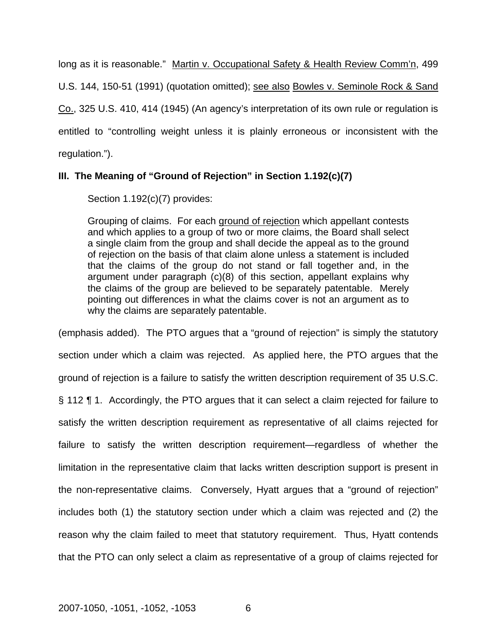long as it is reasonable." Martin v. Occupational Safety & Health Review Comm'n, 499 U.S. 144, 150-51 (1991) (quotation omitted); see also Bowles v. Seminole Rock & Sand Co., 325 U.S. 410, 414 (1945) (An agency's interpretation of its own rule or regulation is entitled to "controlling weight unless it is plainly erroneous or inconsistent with the regulation.").

## **III. The Meaning of "Ground of Rejection" in Section 1.192(c)(7)**

Section 1.192(c)(7) provides:

Grouping of claims. For each ground of rejection which appellant contests and which applies to a group of two or more claims, the Board shall select a single claim from the group and shall decide the appeal as to the ground of rejection on the basis of that claim alone unless a statement is included that the claims of the group do not stand or fall together and, in the argument under paragraph (c)(8) of this section, appellant explains why the claims of the group are believed to be separately patentable. Merely pointing out differences in what the claims cover is not an argument as to why the claims are separately patentable.

(emphasis added). The PTO argues that a "ground of rejection" is simply the statutory section under which a claim was rejected. As applied here, the PTO argues that the ground of rejection is a failure to satisfy the written description requirement of 35 U.S.C. § 112 ¶ 1. Accordingly, the PTO argues that it can select a claim rejected for failure to satisfy the written description requirement as representative of all claims rejected for failure to satisfy the written description requirement—regardless of whether the limitation in the representative claim that lacks written description support is present in the non-representative claims. Conversely, Hyatt argues that a "ground of rejection" includes both (1) the statutory section under which a claim was rejected and (2) the reason why the claim failed to meet that statutory requirement. Thus, Hyatt contends that the PTO can only select a claim as representative of a group of claims rejected for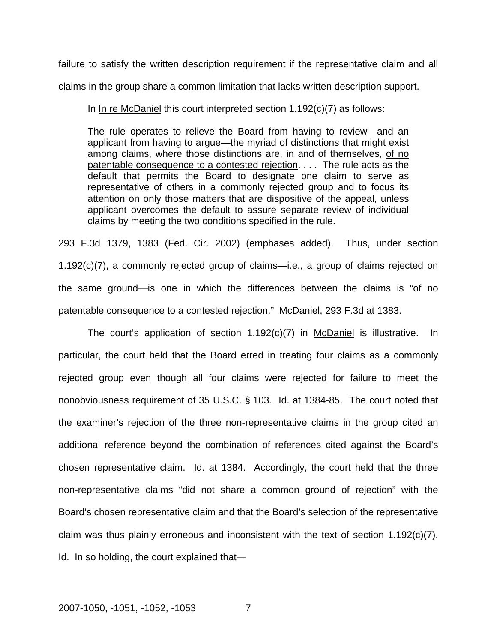failure to satisfy the written description requirement if the representative claim and all claims in the group share a common limitation that lacks written description support.

In In re McDaniel this court interpreted section 1.192(c)(7) as follows:

The rule operates to relieve the Board from having to review—and an applicant from having to argue—the myriad of distinctions that might exist among claims, where those distinctions are, in and of themselves, of no patentable consequence to a contested rejection. . . . The rule acts as the default that permits the Board to designate one claim to serve as representative of others in a commonly rejected group and to focus its attention on only those matters that are dispositive of the appeal, unless applicant overcomes the default to assure separate review of individual claims by meeting the two conditions specified in the rule.

293 F.3d 1379, 1383 (Fed. Cir. 2002) (emphases added). Thus, under section 1.192(c)(7), a commonly rejected group of claims—i.e., a group of claims rejected on the same ground—is one in which the differences between the claims is "of no patentable consequence to a contested rejection." McDaniel, 293 F.3d at 1383.

The court's application of section 1.192(c)(7) in McDaniel is illustrative. In particular, the court held that the Board erred in treating four claims as a commonly rejected group even though all four claims were rejected for failure to meet the nonobviousness requirement of 35 U.S.C. § 103. Id. at 1384-85. The court noted that the examiner's rejection of the three non-representative claims in the group cited an additional reference beyond the combination of references cited against the Board's chosen representative claim. Id. at 1384. Accordingly, the court held that the three non-representative claims "did not share a common ground of rejection" with the Board's chosen representative claim and that the Board's selection of the representative claim was thus plainly erroneous and inconsistent with the text of section 1.192(c)(7). Id. In so holding, the court explained that—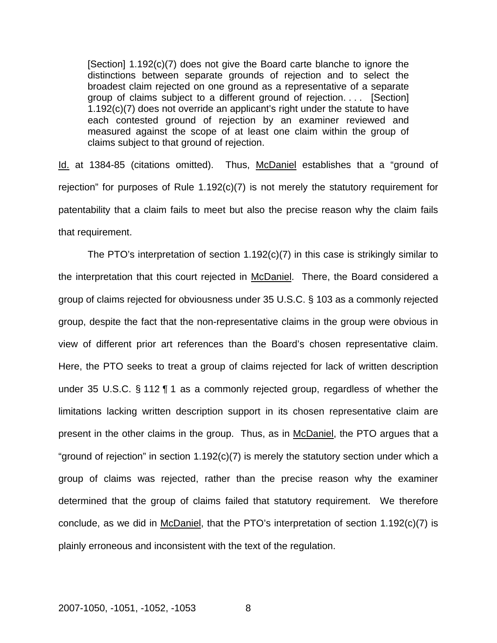[Section] 1.192(c)(7) does not give the Board carte blanche to ignore the distinctions between separate grounds of rejection and to select the broadest claim rejected on one ground as a representative of a separate group of claims subject to a different ground of rejection. . . . [Section] 1.192(c)(7) does not override an applicant's right under the statute to have each contested ground of rejection by an examiner reviewed and measured against the scope of at least one claim within the group of claims subject to that ground of rejection.

Id. at 1384-85 (citations omitted). Thus, McDaniel establishes that a "ground of rejection" for purposes of Rule 1.192(c)(7) is not merely the statutory requirement for patentability that a claim fails to meet but also the precise reason why the claim fails that requirement.

The PTO's interpretation of section 1.192(c)(7) in this case is strikingly similar to the interpretation that this court rejected in McDaniel. There, the Board considered a group of claims rejected for obviousness under 35 U.S.C. § 103 as a commonly rejected group, despite the fact that the non-representative claims in the group were obvious in view of different prior art references than the Board's chosen representative claim. Here, the PTO seeks to treat a group of claims rejected for lack of written description under 35 U.S.C. § 112 ¶ 1 as a commonly rejected group, regardless of whether the limitations lacking written description support in its chosen representative claim are present in the other claims in the group. Thus, as in McDaniel, the PTO argues that a "ground of rejection" in section  $1.192(c)(7)$  is merely the statutory section under which a group of claims was rejected, rather than the precise reason why the examiner determined that the group of claims failed that statutory requirement. We therefore conclude, as we did in McDaniel, that the PTO's interpretation of section 1.192(c)(7) is plainly erroneous and inconsistent with the text of the regulation.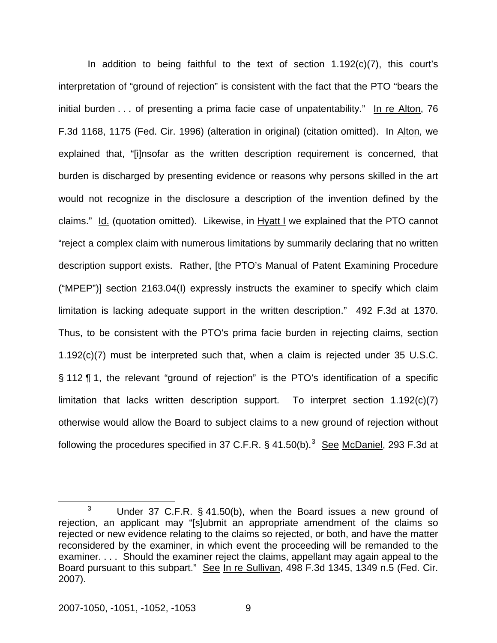In addition to being faithful to the text of section 1.192(c)(7), this court's interpretation of "ground of rejection" is consistent with the fact that the PTO "bears the initial burden . . . of presenting a prima facie case of unpatentability." In re Alton, 76 F.3d 1168, 1175 (Fed. Cir. 1996) (alteration in original) (citation omitted). In Alton, we explained that, "[i]nsofar as the written description requirement is concerned, that burden is discharged by presenting evidence or reasons why persons skilled in the art would not recognize in the disclosure a description of the invention defined by the claims." Id. (quotation omitted). Likewise, in Hyatt I we explained that the PTO cannot "reject a complex claim with numerous limitations by summarily declaring that no written description support exists. Rather, [the PTO's Manual of Patent Examining Procedure ("MPEP")] section 2163.04(I) expressly instructs the examiner to specify which claim limitation is lacking adequate support in the written description." 492 F.3d at 1370. Thus, to be consistent with the PTO's prima facie burden in rejecting claims, section 1.192(c)(7) must be interpreted such that, when a claim is rejected under 35 U.S.C. § 112 ¶ 1, the relevant "ground of rejection" is the PTO's identification of a specific limitation that lacks written description support. To interpret section  $1.192(c)(7)$ otherwise would allow the Board to subject claims to a new ground of rejection without following the procedures specified in [3](#page-9-0)7 C.F.R.  $\S$  41.50(b).<sup>3</sup> See McDaniel, 293 F.3d at

<span id="page-9-0"></span> $\frac{1}{3}$ <sup>3</sup> Under 37 C.F.R. § 41.50(b), when the Board issues a new ground of rejection, an applicant may "[s]ubmit an appropriate amendment of the claims so rejected or new evidence relating to the claims so rejected, or both, and have the matter reconsidered by the examiner, in which event the proceeding will be remanded to the examiner. . . . Should the examiner reject the claims, appellant may again appeal to the Board pursuant to this subpart." See In re Sullivan, 498 F.3d 1345, 1349 n.5 (Fed. Cir. 2007).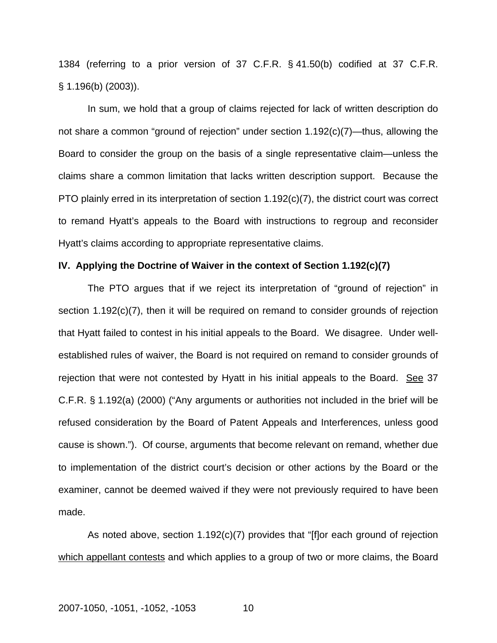1384 (referring to a prior version of 37 C.F.R. § 41.50(b) codified at 37 C.F.R. § 1.196(b) (2003)).

In sum, we hold that a group of claims rejected for lack of written description do not share a common "ground of rejection" under section 1.192(c)(7)—thus, allowing the Board to consider the group on the basis of a single representative claim—unless the claims share a common limitation that lacks written description support. Because the PTO plainly erred in its interpretation of section 1.192(c)(7), the district court was correct to remand Hyatt's appeals to the Board with instructions to regroup and reconsider Hyatt's claims according to appropriate representative claims.

#### **IV. Applying the Doctrine of Waiver in the context of Section 1.192(c)(7)**

 The PTO argues that if we reject its interpretation of "ground of rejection" in section 1.192(c)(7), then it will be required on remand to consider grounds of rejection that Hyatt failed to contest in his initial appeals to the Board. We disagree. Under wellestablished rules of waiver, the Board is not required on remand to consider grounds of rejection that were not contested by Hyatt in his initial appeals to the Board. See 37 C.F.R. § 1.192(a) (2000) ("Any arguments or authorities not included in the brief will be refused consideration by the Board of Patent Appeals and Interferences, unless good cause is shown."). Of course, arguments that become relevant on remand, whether due to implementation of the district court's decision or other actions by the Board or the examiner, cannot be deemed waived if they were not previously required to have been made.

As noted above, section 1.192(c)(7) provides that "[f]or each ground of rejection which appellant contests and which applies to a group of two or more claims, the Board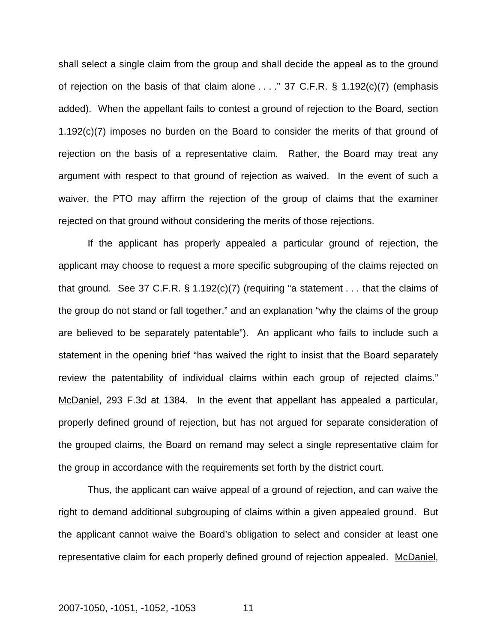shall select a single claim from the group and shall decide the appeal as to the ground of rejection on the basis of that claim alone . . . ." 37 C.F.R. § 1.192(c)(7) (emphasis added). When the appellant fails to contest a ground of rejection to the Board, section 1.192(c)(7) imposes no burden on the Board to consider the merits of that ground of rejection on the basis of a representative claim. Rather, the Board may treat any argument with respect to that ground of rejection as waived. In the event of such a waiver, the PTO may affirm the rejection of the group of claims that the examiner rejected on that ground without considering the merits of those rejections.

If the applicant has properly appealed a particular ground of rejection, the applicant may choose to request a more specific subgrouping of the claims rejected on that ground. See 37 C.F.R.  $\S$  1.192(c)(7) (requiring "a statement . . . that the claims of the group do not stand or fall together," and an explanation "why the claims of the group are believed to be separately patentable"). An applicant who fails to include such a statement in the opening brief "has waived the right to insist that the Board separately review the patentability of individual claims within each group of rejected claims." McDaniel, 293 F.3d at 1384. In the event that appellant has appealed a particular, properly defined ground of rejection, but has not argued for separate consideration of the grouped claims, the Board on remand may select a single representative claim for the group in accordance with the requirements set forth by the district court.

Thus, the applicant can waive appeal of a ground of rejection, and can waive the right to demand additional subgrouping of claims within a given appealed ground. But the applicant cannot waive the Board's obligation to select and consider at least one representative claim for each properly defined ground of rejection appealed. McDaniel,